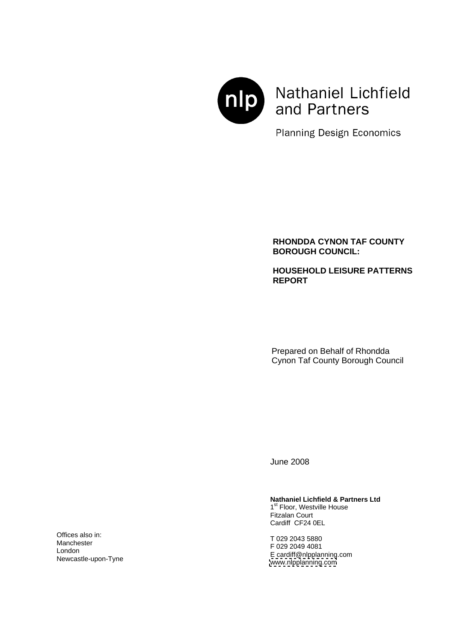

# Nathaniel Lichfield and Partners

**Planning Design Economics** 

## **RHONDDA CYNON TAF COUNTY BOROUGH COUNCIL:**

## **HOUSEHOLD LEISURE PATTERNS REPORT**

Prepared on Behalf of Rhondda Cynon Taf County Borough Council

June 2008

# **Nathaniel Lichfield & Partners Ltd**<br>1<sup>st</sup> Floor, Westville House

1<sup>st</sup> Floor, Westville House **Follow** <sup>st</sup> Floor, Westville House Fitzalan Court Cardiff CF24 0EL

T 029 2043 5880 F 029 2049 4081 E cardiff@nlpplanning.com [www.nlpplanning.com](http://www.nlpplanning.com) Manchester **COLORED TRANSPORTED TO A 2000 2010 1001**  $\blacksquare$  London  $\blacksquare$  London  $\blacksquare$  London  $\blacksquare$  London  $\blacksquare$  London  $\blacksquare$  London  $\blacksquare$  London  $\blacksquare$  London  $\blacksquare$  London  $\blacksquare$  London  $\blacksquare$  London  $\blacksquare$  London  $\blacksquare$  London  $\blacksquare$  London  $\blacksquare$  London  $\blacksquare$  Lond

Offices also in:  $\Gamma_{029,2043,5990}$ Newcastle-upon-Tyne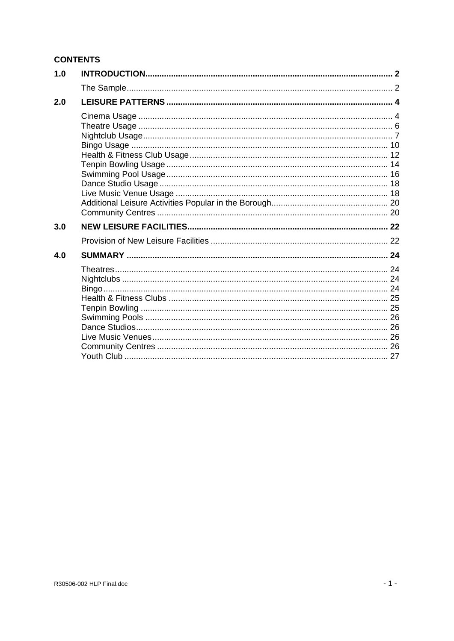## **CONTENTS**

| 1.0 |  |
|-----|--|
|     |  |
| 2.0 |  |
|     |  |
|     |  |
|     |  |
|     |  |
|     |  |
|     |  |
|     |  |
|     |  |
|     |  |
|     |  |
| 3.0 |  |
|     |  |
| 4.0 |  |
|     |  |
|     |  |
|     |  |
|     |  |
|     |  |
|     |  |
|     |  |
|     |  |
|     |  |
|     |  |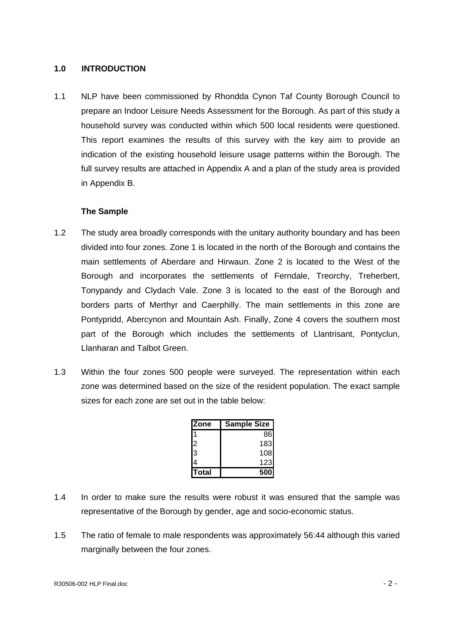#### **1.0 INTRODUCTION**

1.1 NLP have been commissioned by Rhondda Cynon Taf County Borough Council to prepare an Indoor Leisure Needs Assessment for the Borough. As part of this study a household survey was conducted within which 500 local residents were questioned.<br>This report examines the results of this survey with the key aim to provide an indication of the existing household leisure usage patterns within the Borough. The full survey results are attached in Appendix A and a plan of the study area is provided in Appendix B.

#### **The Sample**

- 1.2 The study area broadly corresponds with the unitary authority boundary and has been divided into four zones. Zone 1 is located in the north of the Borough and contains the main settlements of Aberdare and Hirwaun. Zone 2 is located to the West of the Borough and incorporates the settlements of Ferndale, Treorchy, Treherbert, Tonypandy and Clydach Vale. Zone 3 is located to the east of the Borough and borders parts of Merthyr and Caerphilly. The main settlements in this zone are Pontypridd, Abercynon and Mountain Ash. Finally, Zone 4 covers the southern most part of the Borough which includes the settlements of Llantrisant, Pontyclun, Llanharan and Talbot Green.
- 1.3 Within the four zones 500 people were surveyed. The representation within each zone was determined based on the size of the resident population. The exact sample sizes for each zone are set out in the table below:

| <b>Zone</b>     | Sample Size      |
|-----------------|------------------|
| 14.             | 86               |
| ∩י              | 183              |
| <u> २</u><br>ιυ | 108              |
| <b>14</b>       | 123 <sub>1</sub> |
| Total           | 500              |

- 1.4 In order to make sure the results were robust it was ensured that the sample was representative of the Borough by gender, age and socio-economic status.
- 1.5 The ratio of female to male respondents was approximately 56:44 although this varied marginally between the four zones.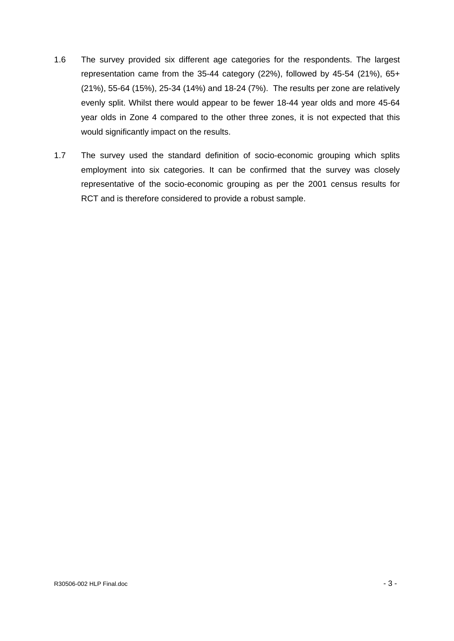- 1.6 The survey provided six different age categories for the respondents. The largest representation came from the 35-44 category (22%), followed by 45-54 (21%), 65+ (21%), 55-64 (15%), 25-34 (14%) and 18-24 (7%). The results per zone are relatively evenly split. Whilst there would appear to be fewer 18-44 year olds and more 45-64 year olds in Zone 4 compared to the other three zones, it is not expected that this would significantly impact on the results.
- 1.7 The survey used the standard definition of socio-economic grouping which splits employment into six categories. It can be confirmed that the survey was closely representative of the socio-economic grouping as per the 2001 census results for RCT and is therefore considered to provide a robust sample.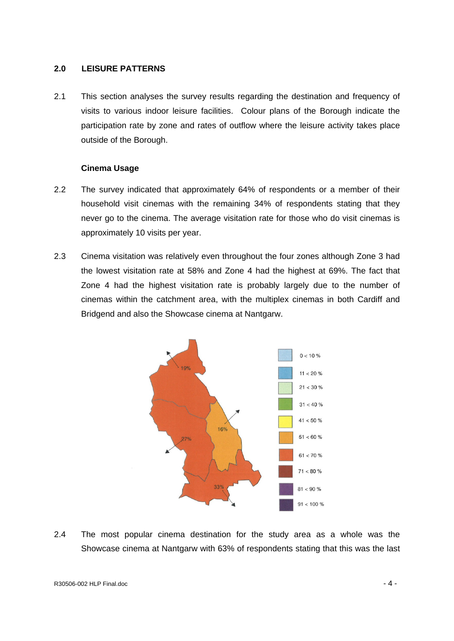#### **2.0 LEISURE PATTERNS**

2.1 This section analyses the survey results regarding the destination and frequency of visits to various indoor leisure facilities. Colour plans of the Borough indicate the participation rate by zone and rates of outflow where the leisure activity takes place outside of the Borough.

#### **Cinema Usage**

- 2.2 The survey indicated that approximately 64% of respondents or a member of their household visit cinemas with the remaining 34% of respondents stating that they never go to the cinema. The average visitation rate for those who do visit cinemas is approximately 10 visits per year.
- 2.3 Cinema visitation was relatively even throughout the four zones although Zone 3 had the lowest visitation rate at 58% and Zone 4 had the highest at 69%. The fact that Zone 4 had the highest visitation rate is probably largely due to the number of cinemas within the catchment area, with the multiplex cinemasin both Cardiff and Bridgend and also the Showcase cinema at Nantgarw.



 2.4 The most popular cinema destination for the study area as <sup>a</sup> whole was the Showcase cinema at Nantgarw with 63% of respondents stating that this was the last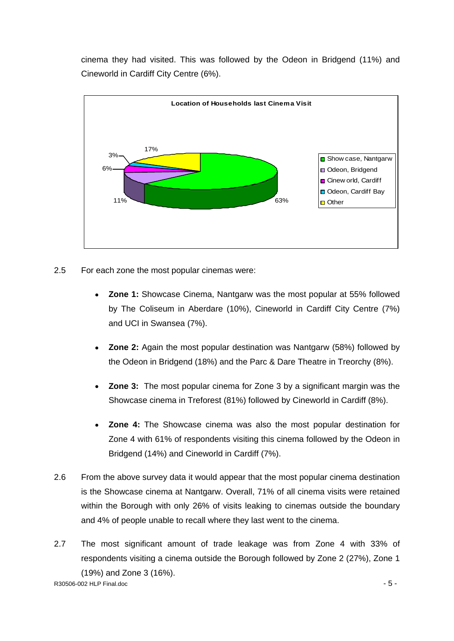cinema they had visited. This was followed by the Odeon in Bridgend (11%) and Cineworld in Cardiff City Centre (6%).



- 2.5 For each zone the most popular cinemas were:
	- **Zone 1:** Showcase Cinema, Nantgarw was the most popular at 55% followed by The Coliseum in Aberdare (10%), Cineworld in Cardiff City Centre (7%) and UCI in Swansea (7%).
	- **Zone 2:** Again the most popular destination was Nantgarw (58%) followed by the Odeon in Bridgend (18%) and the Parc & Dare Theatre in Treorchy (8%).
	- **Zone 3:** The most popular cinema for Zone 3 by a significant margin was the Showcase cinema in Treforest (81%) followed by Cineworld in Cardiff (8%).
	- **Zone 4:** The Showcase cinema was also the most popular destination for Zone 4 with 61% of respondents visiting this cinema followed by the Odeon in
- Bridgend (14%) and Cineworld in Cardiff (7%).<br>2.6 From the above survey data it would appear that the most popular cinema destination is the Showcase cinema at Nantgarw. Overall, 71% of all cinema visits were retained within the Borough with only 26% of visits leaking to cinemas outside the boundary and 4% of people unable to recall where they last went to the cinema.
- R30506-002 HLP Final.doc 5 2.7 The most significant amount of trade leakage was from Zone 4 with 33% of respondents visiting a cinema outside the Borough followed by Zone 2 (27%), Zone 1 (19%) and Zone 3 (16%).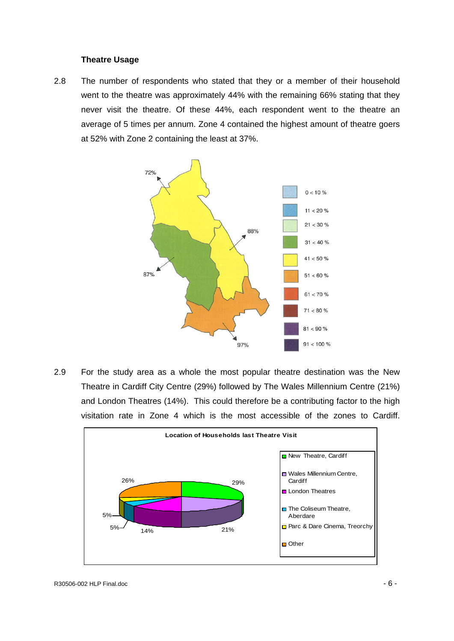#### **Theatre Usage**

2.8 The number of respondents who stated that they or a member of their household went to the theatre was approximately 44% with the remaining 66% stating that they never visit the theatre. Of these 44%, each respondent went to the theatre an average of 5 times per annum. Zone 4 contained the highest amount of theatre goers at 52% with Zone 2 containing the least at 37%.



Theatre in Cardiff City Centre (29%) followed by The Wales Millennium Centre (21%) and London Theatres (14%). This could therefore be a contributing factor to the high visitation rate in Zone 4 which is the most accessible of the zones to Cardiff.

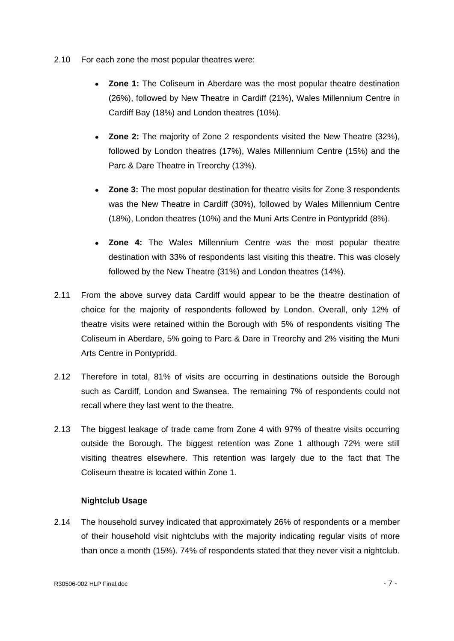- 2.10 For each zone the most popular theatres were:
	- **Zone 1:** The Coliseum in Aberdare was the most popular theatre destination (26%), followed by New Theatre in Cardiff (21%), Wales Millennium Centre in Cardiff Bay (18%) and London theatres (10%).
	- **Zone 2:** The majority of Zone 2 respondents visited the New Theatre (32%), followed by London theatres (17%), Wales Millennium Centre (15%) and the Parc & Dare Theatre in Treorchy (13%).
	- **Zone 3:** The most popular destination for theatre visits for Zone 3 respondents was the New Theatre in Cardiff (30%), followed by Wales Millennium Centre (18%), London theatres (10%) and the Muni Arts Centre in Pontypridd (8%).
	- **Zone 4:** The Wales Millennium Centre was the most popular theatre destination with 33% of respondents last visiting this theatre. This was closely followed by the New Theatre (31%) and London theatres (14%).
- 2.11 From the above survey data Cardiff would appear to be the theatre destination of choice for the majority of respondents followed by London. Overall, only 12% of theatre visits were retained within the Borough with 5% of respondents visiting The Coliseum in Aberdare, 5% going to Parc & Dare in Treorchy and 2% visiting the Muni Arts Centre in Pontypridd.
- 2.12 Therefore in total, 81% of visits are occurring in destinations outside the Borough such as Cardiff, London and Swansea. The remaining 7% of respondents could not recall where they last went to the theatre.
- 2.13 The biggest leakage of trade came from Zone 4 with 97% of theatre visits occurring outside the Borough. The biggest retention was Zone 1 although 72% were still visiting theatres elsewhere. This retention was largely due to the fact that The Coliseum theatre is located within Zone 1.

#### **Nightclub Usage**

2.14 The household survey indicated that approximately 26% of respondents or a member of their household visit nightclubs with the majority indicating regular visits of more than once a month (15%). 74% of respondents stated that they never visit a nightclub.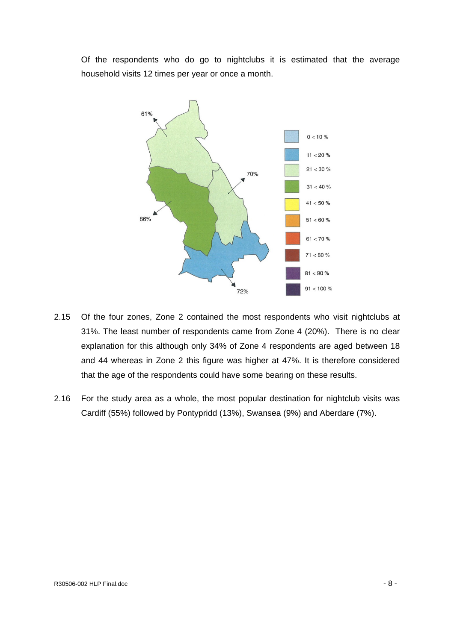household visits 12 times per year or once a month.



- za mand is to the four zones, Zone 2 contained the most respondents who visit nightclubs at<br>2.15 Of the four zones, Zone 2 contained the most respondents who visit nightclubs at 31%. The least number of respondents came from Zone 4 (20%). There is no clear explanation for this although only 34% of Zone 4 respondents are aged between 18 and 44 whereas in Zone 2 this figure was higher at 47%. It is therefore considered that the age of the respondents could have some bearing on these results.
- 2.16 For the study area as a whole, the most popular destination for nightclub visits was Cardiff (55%) followed by Pontypridd (13%), Swansea (9%) and Aberdare (7%).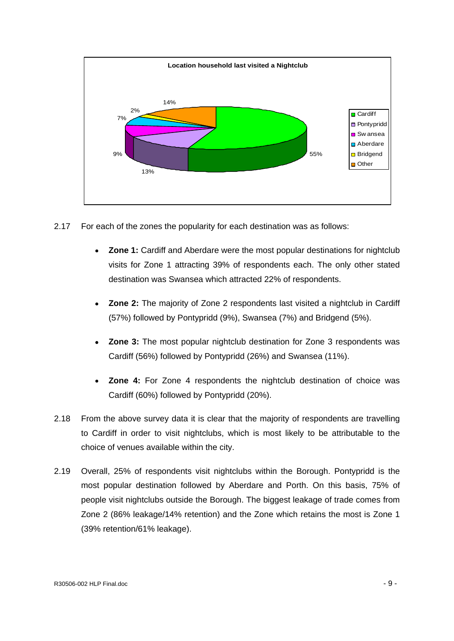

2.17 For each of the zones the popularity for each destination was as follows:

- **Zone 1:** Cardiff and Aberdare were the most popular destinations for nightclub visits for Zone 1 attracting 39% of respondents each. The only other stated destination was Swansea which attracted 22% of respondents.
- **Zone 2:** The majority of Zone 2 respondents last visited a nightclub in Cardiff (57%) followed by Pontypridd (9%), Swansea (7%) and Bridgend (5%).
- **Zone 3:** The most popular nightclub destination for Zone 3 respondents was Cardiff (56%) followed by Pontypridd (26%) and Swansea (11%).
- **Zone 4:** For Zone 4 respondents the nightclub destination of choice was Cardiff (60%) followed by Pontypridd (20%).
- 2.18 From the above survey data it is clear that the majority of respondents are travelling to Cardiff in order to visit nightclubs, which is most likely to be attributable to the choice of venues available within the city.
- 2.19 Overall, 25% of respondents visit nightclubs within the Borough. Pontypridd is the most popular destination followed by Aberdare and Porth. On this basis, 75% of people visit nightclubs outside the Borough. The biggest leakage of trade comes from Zone 2 (86% leakage/14% retention) and the Zone which retains the most is Zone 1 (39% retention/61% leakage).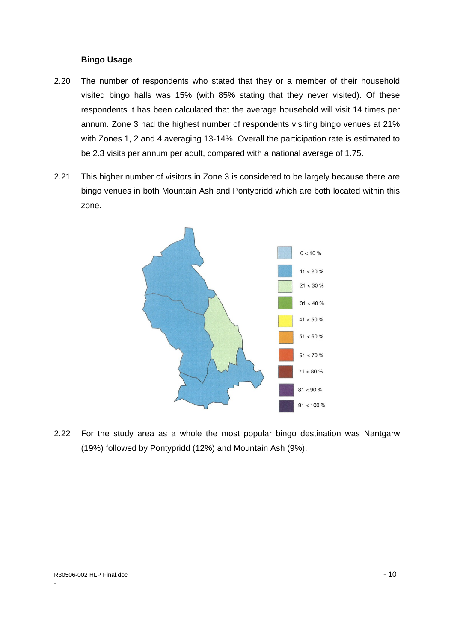- 2.20 The number of respondents who stated that they or a member of their household visited bingo halls was 15% (with 85% stating that they never visited). Of these respondents it has been calculated that the average household will visit 14 times per annum. Zone 3 had the highest number of respondents visiting bingo venues at 21% with Zones 1, 2 and 4 averaging 13-14%. Overall the participation rate is estimated to be 2.3 visits per annum per adult, compared with a national average of 1.75.
- 2.21 This higher number of visitors in Zone 3 is considered to be largely because there are bingo venues in both Mountain Ash and Pontypridd which are both located within this zone.



 2.22 For the study area as <sup>a</sup> whole the most popular bingo destination was Nantgarw (19%) followed by Pontypridd (12%) and Mountain Ash (9%).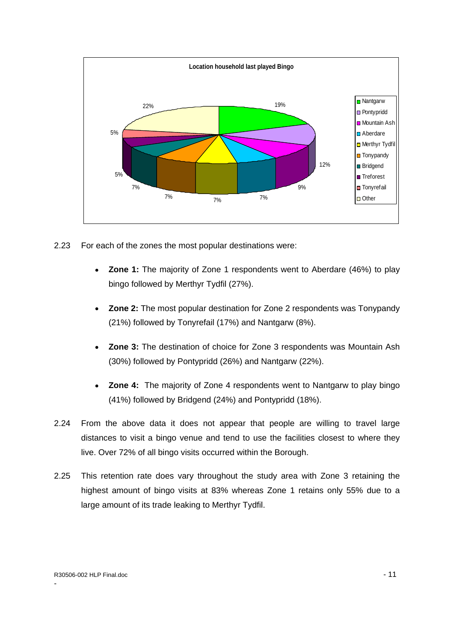

- 2.23 For each of the zones the most popular destinations were:
	- **Zone 1:** The majority of Zone 1 respondents went to Aberdare (46%) to play bingo followed by Merthyr Tydfil (27%).
	- **Zone 2:** The most popular destination for Zone 2 respondents was Tonypandy (21%) followed by Tonyrefail (17%) and Nantgarw (8%).
	- **Zone 3:** The destination of choice for Zone 3 respondents was Mountain Ash (30%) followed by Pontypridd (26%) and Nantgarw (22%).
	- **Zone 4:** The majority of Zone 4 respondents went to Nantgarw to play bingo (41%) followed by Bridgend (24%) and Pontypridd (18%).
- 2.24 From the above data it does not appear that people are willing to travel large distances to visit a bingo venue and tend to use the facilities closest to where they
- live. Over 72% of all bingo visits occurred within the Borough.<br>2.25 This retention rate does vary throughout the study area with Zone 3 retaining the highest amount of bingo visits at 83% whereas Zone 1 retains only 55% due to a large amount of its trade leaking to Merthyr Tydfil.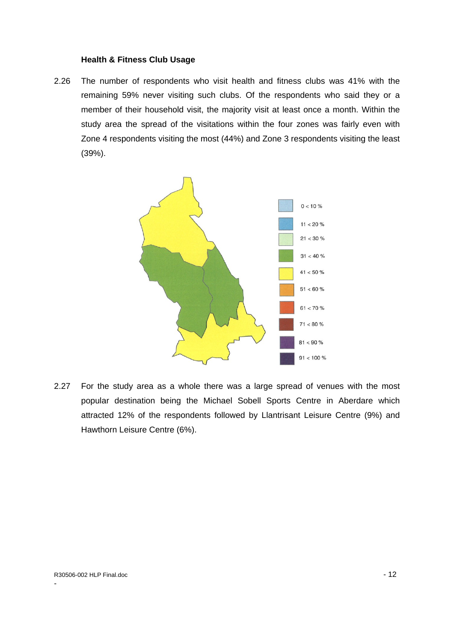2.26 The number of respondents who visit health and fitness clubs was 41% with the remaining 59% never visiting such clubs. Of the respondents who said they or a member of their household visit, the majority visit at least once a month. Within the study area the spread of the visitations within the four zones was fairly even with Zone 4 respondents visiting the most (44%) and Zone 3 respondents visiting the least (39%).



 2.27 For the study area as <sup>a</sup> whole there was <sup>a</sup> large spread of venues with the most popular destination being the Michael Sobell Sports Centre in Aberdare which attracted 12% of the respondents followed by Llantrisant Leisure Centre (9%) and Hawthorn Leisure Centre (6%).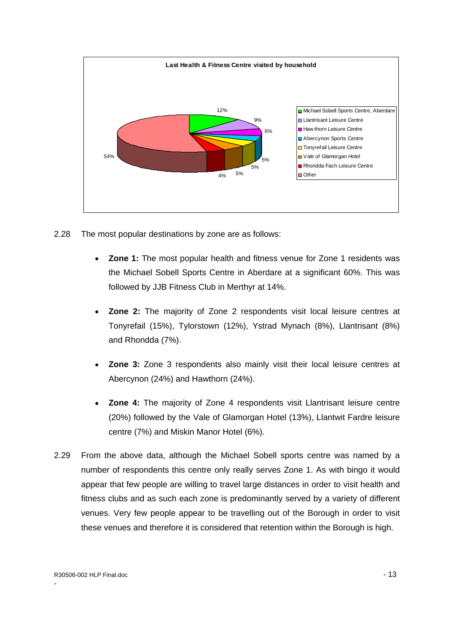

2.28 The most popular destinations by zone are as follows:

- **Zone 1:** The most popular health and fitness venue for Zone 1 residents was the Michael Sobell Sports Centre in Aberdare at a significant 60%. This was followed by JJB Fitness Club in Merthyr at 14%.
- $\bullet$ **Zone 2:** The majority of Zone 2 respondents visit local leisure centres at Tonyrefail (15%), Tylorstown (12%), Ystrad Mynach (8%), Llantrisant (8%) and Rhondda (7%).
- **Zone 3:** Zone 3 respondents also mainly visit their local leisure centres at  $\bullet$ Abercynon (24%) and Hawthorn (24%).
- **Zone 4:** The majority of Zone 4 respondents visit Llantrisant leisure centre  $\bullet$ (20%) followed by the Vale of Glamorgan Hotel (13%), Llantwit Fardre leisure centre (7%) and Miskin Manor Hotel (6%).
- 2.29 From the above data, although the Michael Sobell sports centre was named by a number of respondents this centre only really serves Zone 1. As with bingo it would appear that few people are willing to travel large distances in order to visit health and fitness clubs and as such each zone is predominantly served by a variety of different venues. Very few people appear to be travelling out of the Borough in order to visit these venues and therefore it is considered that retention within the Borough is high.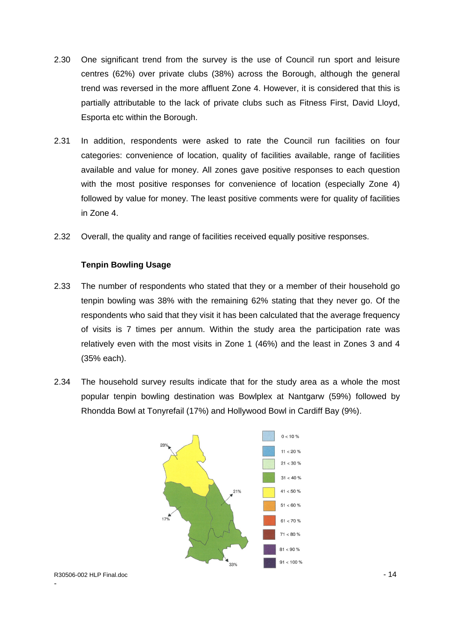- 2.30 One significant trend from the survey is the use of Council run sport and leisure centres (62%) over private clubs (38%) across the Borough, although the general trend was reversed in the more affluent Zone 4. However, it is considered that this is partially attributable to the lack of private clubs such as Fitness First, David Lloyd,
- Esporta etc within the Borough. 2.31 In addition, respondents were asked to rate the Council run facilities on four categories: convenience of location, quality of facilities available, range of facilities available and value for money. All zones gave positive responses to each question with the most positive responses for convenience of location (especially Zone 4) followed by value for money. The least positive comments were for quality of facilities in Zone 4.
- 2.32 Overall, the quality and range of facilities received equally positive responses.

#### **Tenpin Bowling Usage**

- 2.33 The number of respondents who stated that they or a member of their household go tenpin bowling was 38% with the remaining 62% stating that they never go. Of the respondents who said that they visit it has been calculated that the average frequency of visits is 7 times per annum. Within the study area the participation rate was relatively even with the most visits in Zone 1 (46%) and the least in Zones 3 and 4
- (35% each). 2.34 The household survey results indicate that for the study area as <sup>a</sup> whole the most popular tenpin bowling destination was Bowlplex at Nantgarw (59%) followed by Rhondda Bowl at Tonyrefail (17%) and Hollywood Bowl in Cardiff Bay (9%).

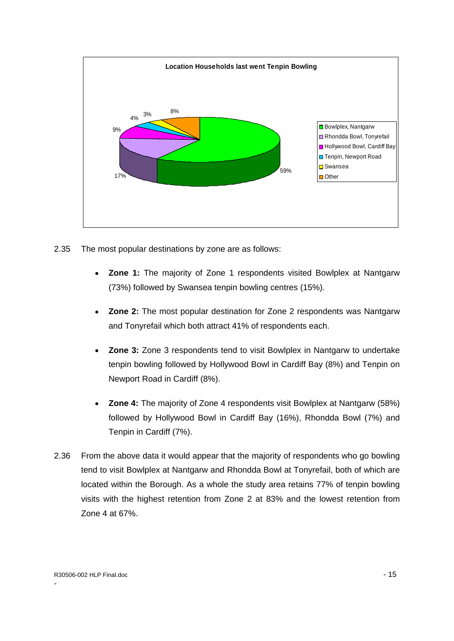

- 2.35 The most popular destinations by zone are as follows:
	- **Zone 1:** The majority of Zone 1 respondents visited Bowlplex at Nantgarw (73%) followed by Swansea tenpin bowling centres (15%).
	- **Zone 2:** The most popular destination for Zone 2 respondents was Nantgarw  $\bullet$ and Tonyrefail which both attract 41% of respondents each.
	- **Zone 3:** Zone 3 respondents tend to visit Bowlplex in Nantgarw to undertake tenpin bowling followed by Hollywood Bowl in Cardiff Bay (8%) and Tenpin on Newport Road in Cardiff (8%).
	- **Zone 4:** The majority of Zone 4 respondents visit Bowlplex at Nantgarw (58%)  $\bullet$ followed by Hollywood Bowl in Cardiff Bay (16%), Rhondda Bowl (7%) and Tenpin in Cardiff (7%).
- 2.36 From the above data it would appear that the majority of respondents who go bowling tend to visit Bowlplex at Nantgarw and Rhondda Bowl at Tonyrefail, both of which are located within the Borough. As a whole the study area retains 77% of tenpin bowling visits with the highest retention from Zone 2 at 83% and the lowest retention from Zone 4 at 67%.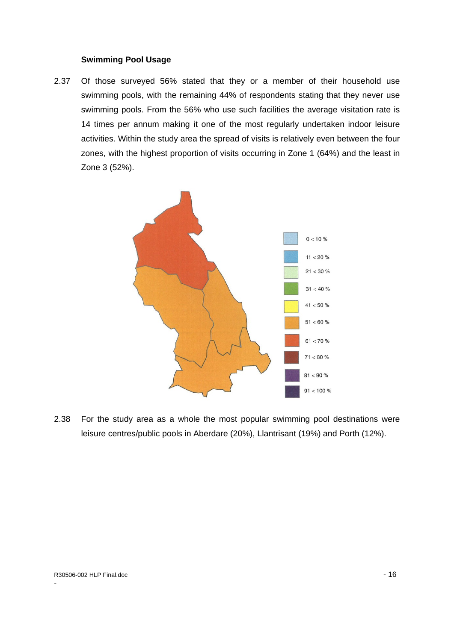#### **Swimming Pool Usage**

2.37 Of those surveyed 56% stated that they or a member of their household use swimming pools, with the remaining 44% of respondents stating that they never use swimming pools. From the 56% who use such facilities the average visitation rate is 14 times per annum making it one of the most regularly undertaken indoor leisure activities. Within the study area the spread of visits is relatively even between the four zones, with the highest proportion of visits occurring in Zone 1 (64%) and the least in Zone 3 (52%).



leisure centres/public pools in Aberdare (20%), Llantrisant (19%) and Porth (12%).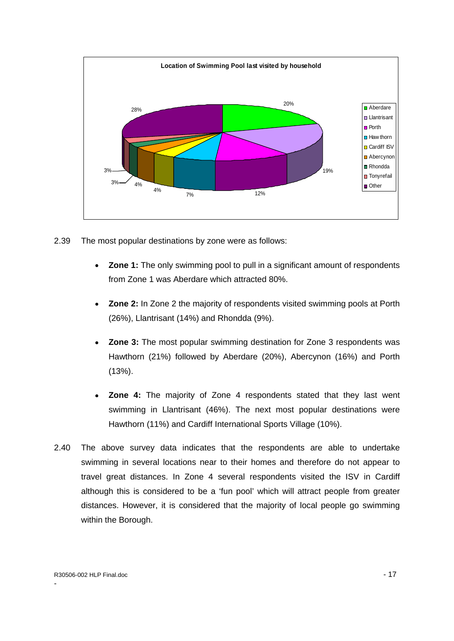

- 2.39 The most popular destinations by zone were as follows:
	- **Zone 1:** The only swimming pool to pull in a significant amount of respondents from Zone 1 was Aberdare which attracted 80%.
	- **Zone 2:** In Zone 2 the majority of respondents visited swimming pools at Porth  $\bullet$ (26%), Llantrisant (14%) and Rhondda (9%).
	- **Zone 3:** The most popular swimming destination for Zone 3 respondents was Hawthorn (21%) followed by Aberdare (20%), Abercynon (16%) and Porth (13%).
	- **Zone 4:** The majority of Zone 4 respondents stated that they last went swimming in Llantrisant (46%). The next most popular destinations were Hawthorn (11%) and Cardiff International Sports Village (10%).
- 2.40 The above survey data indicates that the respondents are able to undertake swimming in several locations near to their homes and therefore do not appear to travel great distances. In Zone 4 several respondents visited the ISV in Cardiff although this is considered to be a 'fun pool' which will attract people from greater distances. However, it is considered that the majority of local people go swimming within the Borough.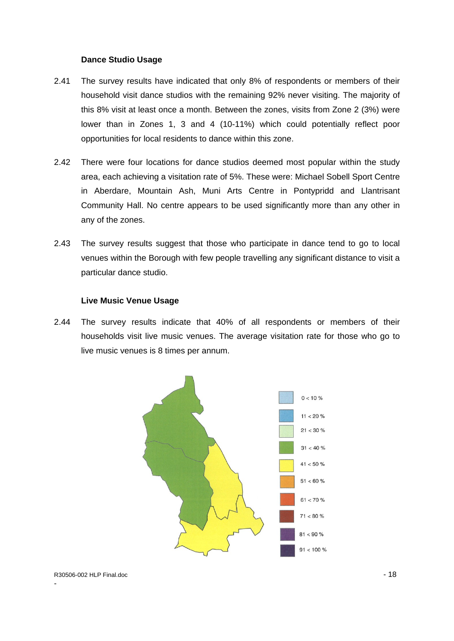- 2.41 The survey results have indicated that only 8% of respondents or members of their household visit dance studios with the remaining 92% never visiting. The majority of this 8% visit at least once a month. Between the zones, visits from Zone 2 (3%) were lower than in Zones 1, 3 and 4 (10-11%) which could potentially reflect poor opportunities for local residents to dance within this zone.
- 2.42 There were four locations for dance studios deemed most popular within the study area, each achieving a visitation rate of 5%. These were: Michael Sobell Sport Centre in Aberdare, Mountain Ash, Muni Arts Centre in Pontypridd and Llantrisant Community Hall. No centre appears to be used significantly more than any other in any of the zones.
- 2.43 The survey results suggest that those who participate in dance tend to go to local venues within the Borough with few people travelling any significant distance to visit a particular dance studio.

#### **Live Music Venue Usage**

2.44 The survey results indicate that 40% of all respondents or members of their households visit live music venues. The average visitation rate for those who go to live music venues is 8 times per annum.

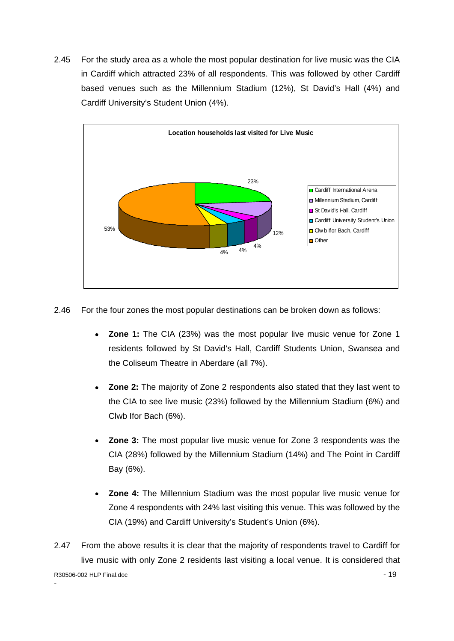2.45 For the study area as a whole the most popular destination for live music was the CIA in Cardiff which attracted 23% of all respondents. This was followed by other Cardiff based venues such as the Millennium Stadium (12%), St David's Hall (4%) and Cardiff University's Student Union (4%).



2.46 For the four zones the most popular destinations can be broken down as follows:

- $\bullet$ **Zone 1:** The CIA (23%) was the most popular live music venue for Zone 1 residents followed by St David's Hall, Cardiff Students Union, Swansea and the Coliseum Theatre in Aberdare (all 7%).
- **Zone 2:** The majority of Zone 2 respondents also stated that they last went to the CIA to see live music (23%) followed by the Millennium Stadium (6%) and Clwb Ifor Bach (6%).
- **Zone 3:** The most popular live music venue for Zone 3 respondents was the CIA (28%) followed by the Millennium Stadium (14%) and The Point in Cardiff
- Bay (6%).<br>**Zone 4:** The Millennium Stadium was the most popular live music venue for Zone 4 respondents with 24% last visiting this venue. This was followed by the CIA (19%) and Cardiff University's Student's Union (6%).
- R30506-002 HLP Final.doc 19 Annual 1990 1990 1990 1990 1990 1990 1990 1990 1990 1990 199 e de la construcción de la construcción de la construcción de la construcción de la construcción de la constru 2.47 From the above results it is clear that the majority of respondents travel to Cardiff for live music with only Zone 2 residents last visiting a local venue. It is considered that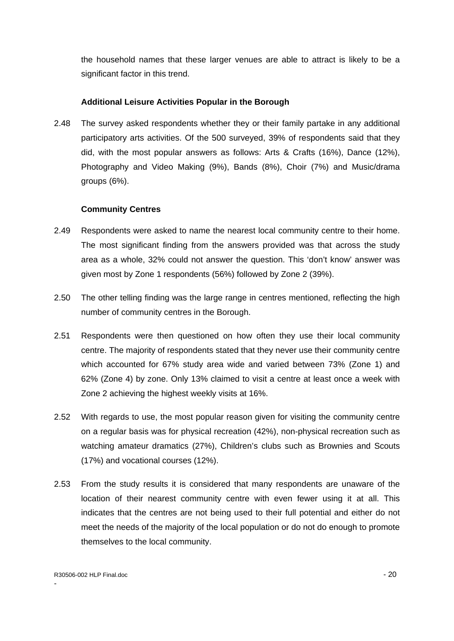the household names that these larger venues are able to attract is likely to be a significant factor in this trend.

#### **Additional Leisure Activities Popular in the Borough**

2.48 The survey asked respondents whether they or their family partake in any additional participatory arts activities. Of the 500 surveyed, 39% of respondents said that they did, with the most popular answers as follows: Arts & Crafts (16%), Dance (12%), Photography and Video Making (9%), Bands (8%), Choir (7%) and Music/drama groups (6%).

#### **Community Centres**

- 2.49 Respondents were asked to name the nearest local community centre to their home. The most significant finding from the answers provided was that across the study area as a whole, 32% could not answer the question. This 'don't know' answer was given most by Zone 1 respondents (56%) followed by Zone 2 (39%).
- 2.50 The other telling finding was the large range in centres mentioned, reflecting the high
- number of community centres in the Borough.<br>2.51 Respondents were then questioned on how often they use their local community centre. The majority of respondents stated that they never use their community centre which accounted for 67% study area wide and varied between 73% (Zone 1) and 62% (Zone 4) by zone. Only 13% claimed to visit a centre at least once a week with Zone 2 achieving the highest weekly visits at 16%.
- 2.52 With regards to use, the most popular reason given for visiting the community centre on a regular basis was for physical recreation (42%), non-physical recreation such as watching amateur dramatics (27%), Children's clubs such as Brownies and Scouts (17%) and vocational courses (12%).
- 2.53 From the study results it is considered that many respondents are unaware of the location of their nearest community centre with even fewer using it at all. This indicates that the centres are not being used to their full potential and either do not meet the needs of the majority of the local population or do not do enough to promote themselves to the local community.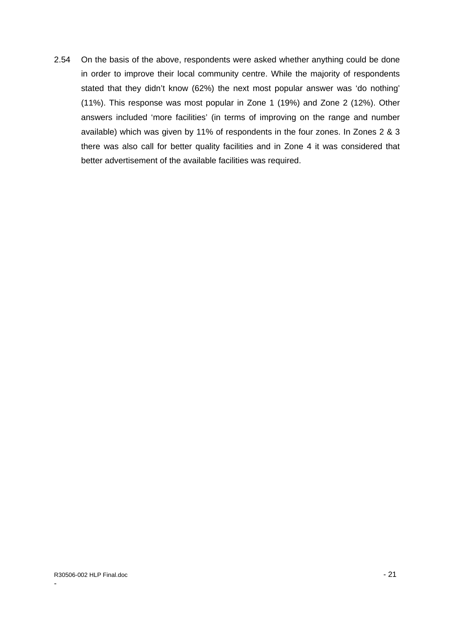2.54 On the basis of the above, respondents were asked whether anything could be done in order to improve their local community centre. While the majority of respondents stated that they didn't know (62%) the next most popular answer was 'do nothing' (11%). This response was most popular in Zone 1 (19%) and Zone 2 (12%). Other answers included 'more facilities' (in terms of improving on the range and number available) which was given by 11% of respondents in the four zones. In Zones 2 & 3 there was also call for better quality facilities and in Zone 4 it was considered that better advertisement of the available facilities was required.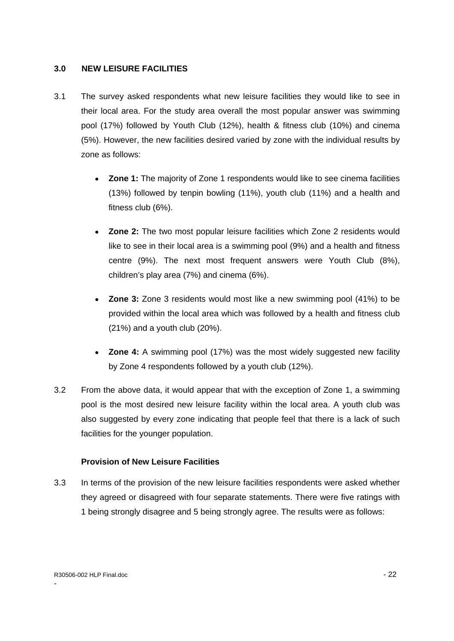#### **3.0 NEW LEISURE FACILITIES**

- 3.1 The survey asked respondents what new leisure facilities they would like to see in their local area. For the study area overall the most popular answer was swimming pool (17%) followed by Youth Club (12%), health & fitness club (10%) and cinema (5%). However, the new facilities desired varied by zone with the individual results by zone as follows:
	- **Zone 1:** The majority of Zone 1 respondents would like to see cinema facilities  $\bullet$ (13%) followed by tenpin bowling (11%), youth club (11%) and a health and fitness club (6%).
	- **Zone 2:** The two most popular leisure facilities which Zone 2 residents would like to see in their local area is a swimming pool (9%) and a health and fitness centre (9%). The next most frequent answers were Youth Club (8%), children's play area (7%) and cinema (6%).
	- **Zone 3:** Zone 3 residents would most like a new swimming pool (41%) to be provided within the local area which was followed by a health and fitness club (21%) and a youth club (20%).
	- **Zone 4:** A swimming pool (17%) was the most widely suggested new facility by Zone 4 respondents followed by a youth club (12%).
- 3.2 From the above data, it would appear that with the exception of Zone 1, a swimming pool is the most desired new leisure facility within the local area. A youth club was also suggested by every zone indicating that people feel that there is a lack of such facilities for the younger population.

#### **Provision of New Leisure Facilities**

3.3 In terms of the provision of the new leisure facilities respondents were asked whether they agreed or disagreed with four separate statements. There were five ratings with 1 being strongly disagree and 5 being strongly agree. The results were as follows: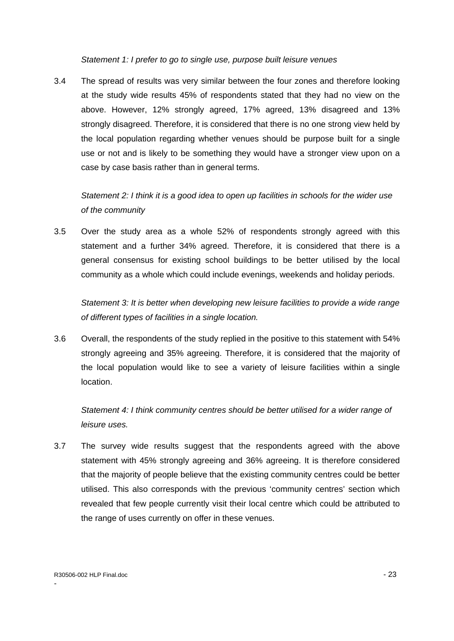Statement 1: I prefer to go to single use, purpose built leisure venues

3.4 The spread of results was very similar between the four zones and therefore looking at the study wide results 45% of respondents stated that they had no view on the above. However, 12% strongly agreed, 17% agreed, 13% disagreed and 13% strongly disagreed. Therefore, it is considered that there is no one strong view held by the local population regarding whether venues should be purpose built for a single use or not and is likely to be something they would have a stronger view upon on a case by case basis rather than in general terms.

Statement 2: I think it is a good idea to open up facilities in schools for the wider use of the community

3.5 Over the study area as a whole 52% of respondents strongly agreed with this statement and a further 34% agreed. Therefore, it is considered that there is a general consensus for existing school buildings to be better utilised by the local community as a whole which could include evenings, weekends and holiday periods.

Statement 3: It is better when developing new leisure facilities to provide a wide range of different types of facilities in a single location.

3.6 Overall, the respondents of the study replied in the positive to this statement with 54% strongly agreeing and 35% agreeing. Therefore, it is considered that the majority of the local population would like to see a variety of leisure facilities within a single location. The contract of the contract of the contract of the contract of the contract of the contract of the contract of the contract of the contract of the contract of the contract of the contract of the contract of the

Statement 4: I think community centres should be better utilised for a wider range of leisure uses.

3.7 The survey wide results suggest that the respondents agreed with the above statement with 45% strongly agreeing and 36% agreeing. It is therefore considered that the majority of people believe that the existing community centres could be better utilised. This also corresponds with the previous 'community centres' section which revealed that few people currently visit their local centre which could be attributed to the range of uses currently on offer in these venues.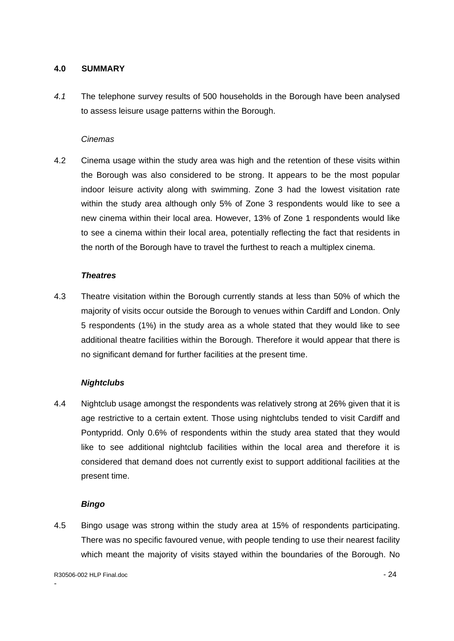#### **4.0 SUMMARY**

4.1 The telephone survey results of 500 households in the Borough have been analysed to assess leisure usage patterns within the Borough.

#### **Cinemas Contract Contract Contract Contract Contract Contract Contract Contract Contract Contract Contract Contract Contract Contract Contract Contract Contract Contract Contract Contract Contract Contract Contract Cont**

4.2 Cinema usage within the study area was high and the retention of these visits within the Borough was also considered to be strong. It appears to be the most popular indoor leisure activity along with swimming. Zone 3 had the lowest visitation rate within the study area although only 5% of Zone 3 respondents would like to see a new cinema within their local area. However, 13% of Zone 1 respondents would like to see a cinema within their local area, potentially reflecting the fact that residents in the north of the Borough have to travel the furthest to reach a multiplex cinema.

#### **Theatres**

4.3 Theatre visitation within the Borough currently stands at less than 50% of which the majority of visits occur outside the Borough to venues within Cardiff and London. Only 5 respondents (1%) in the study area as a whole stated that they would like to see additional theatre facilities within the Borough. Therefore it would appear that there is no significant demand for further facilities at the present time.

## **Nightclubs**

4.4 Nightclub usage amongst the respondents was relatively strong at 26% given that it is age restrictive to a certain extent. Those using nightclubs tended to visit Cardiff and Pontypridd. Only 0.6% of respondents within the study area stated that they would like to see additional nightclub facilities within the local area and therefore it is considered that demand does not currently exist to support additional facilities at the present time.

#### **Bingo**

4.5 Bingo usage was strong within the study area at 15% of respondents participating. There was no specific favoured venue, with people tending to use their nearest facility which meant the majority of visits stayed within the boundaries of the Borough. No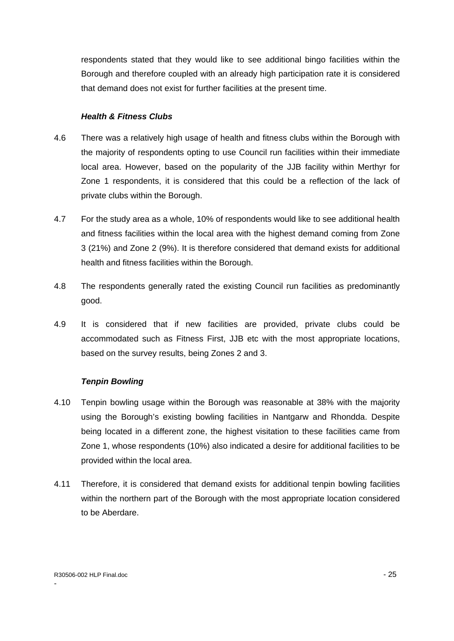respondents stated that they would like to see additional bingo facilities within the Borough and therefore coupled with an already high participation rate it is considered that demand does not exist for further facilities at the present time.

## **Health & Fitness Clubs**

- 4.6 There was a relatively high usage of health and fitness clubs within the Borough with the majority of respondents opting to use Council run facilities within their immediate local area. However, based on the popularity of the JJB facility within Merthyr for Zone 1 respondents, it is considered that this could be a reflection of the lack of
- private clubs within the Borough.<br>4.7 For the study area as a whole, 10% of respondents would like to see additional health and fitness facilities within the local area with the highest demand coming from Zone 3 (21%) and Zone 2 (9%). It is therefore considered that demand exists for additional
- health and fitness facilities within the Borough.<br>4.8 The respondents generally rated the existing Council run facilities as predominantly good.
- 4.9 It is considered that if new facilities are provided, private clubs could be accommodated such as Fitness First, JJB etc with the most appropriate locations, based on the survey results, being Zones 2 and 3.

#### **Tenpin Bowling**

- 4.10 Tenpin bowling usage within the Borough was reasonable at 38% with the majority using the Borough's existing bowling facilities in Nantgarw and Rhondda. Despite being located in a different zone, the highest visitation to these facilities came from Zone 1, whose respondents (10%) also indicated a desire for additional facilities to be provided within the local area.
- 4.11 Therefore, it is considered that demand exists for additional tenpin bowling facilities within the northern part of the Borough with the most appropriate location considered to be Aberdare.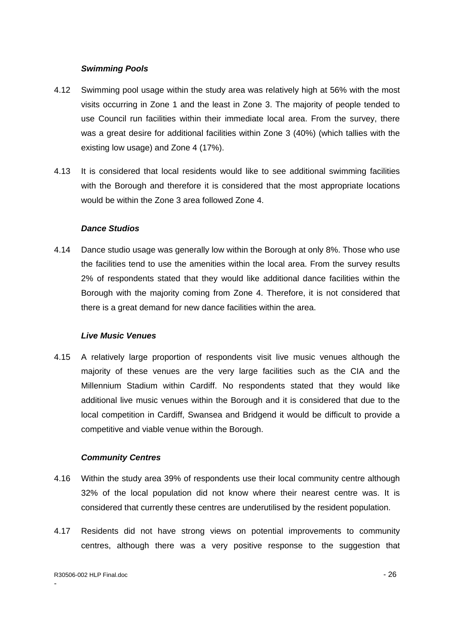- 4.12 Swimming pool usage within the study area was relatively high at 56% with the most visits occurring in Zone 1 and the least in Zone 3. The majority of people tended to use Council run facilities within their immediate local area. From the survey, there was a great desire for additional facilities within Zone 3 (40%) (which tallies with the existing low usage) and Zone 4 (17%).
- 4.13 It is considered that local residents would like to see additional swimming facilities with the Borough and therefore it is considered that the most appropriate locations would be within the Zone 3 area followed Zone 4.

#### **Dance Studios**

4.14 Dance studio usage was generally low within the Borough at only 8%. Those who use the facilities tend to use the amenities within the local area. From the survey results 2% of respondents stated that they would like additional dance facilities within the Borough with the majority coming from Zone 4. Therefore, it is not considered that there is a great demand for new dance facilities within the area.

#### **Live Music Venues**

**Swimming Pools**<br> **Swimming Pools**<br> **Swimming nool usage within the study area was relatively high at 56% with the most was to countring in Zome 2 and the lotsel in Zome 3. The majority of poolpt tended to use Querel run f** 4.15 A relatively large proportion of respondents visit live music venues although the majority of these venues are the very large facilities such as the CIA and the Millennium Stadium within Cardiff. No respondents stated that they would like additional live music venues within the Borough and it is considered that due to the local competition in Cardiff, Swansea and Bridgend it would be difficult to provide a competitive and viable venue within the Borough.

#### **Community Centres**

- 4.16 Within the study area 39% of respondents use their local community centre although 32% of the local population did not know where their nearest centre was. It is considered that currently these centres are underutilised by the resident population.
- 4.17 Residents did not have strong views on potential improvements to community centres, although there was a very positive response to the suggestion that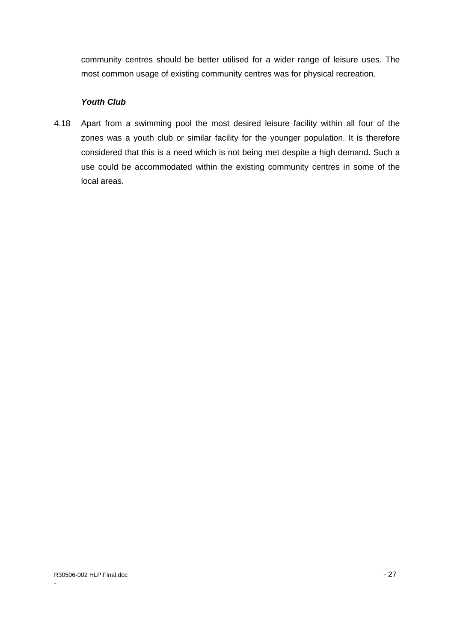community centres should be better utilised for a wider range of leisure uses. The most common usage of existing community centres was for physical recreation.

### **Youth Club**

4.18 Apart from a swimming pool the most desired leisure facility within all four of the zones was a youth club or similar facility for the younger population. It is therefore considered that this is a need which is not being met despite a high demand. Such a use could be accommodated within the existing community centres in some of the local areas.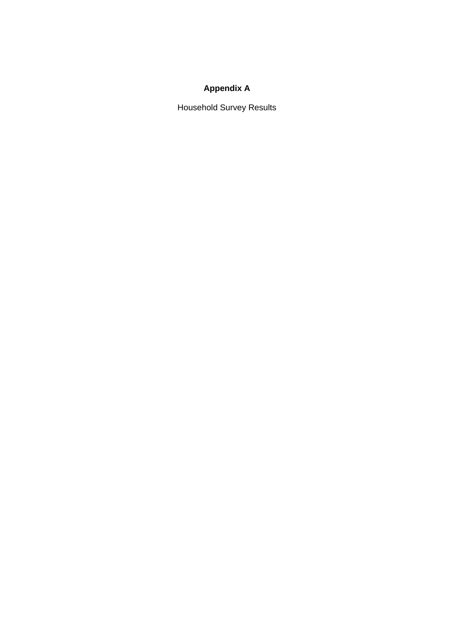## **Appendix A**

Household Survey Results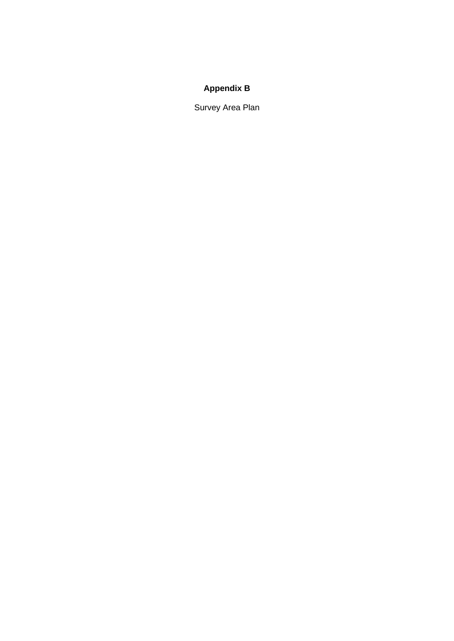## **Appendix B**

Survey Area Plan